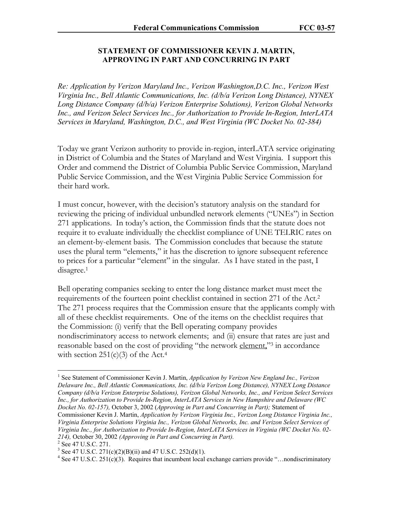## **STATEMENT OF COMMISSIONER KEVIN J. MARTIN, APPROVING IN PART AND CONCURRING IN PART**

*Re: Application by Verizon Maryland Inc., Verizon Washington,D.C. Inc., Verizon West Virginia Inc., Bell Atlantic Communications, Inc. (d/b/a Verizon Long Distance), NYNEX Long Distance Company (d/b/a) Verizon Enterprise Solutions), Verizon Global Networks Inc., and Verizon Select Services Inc., for Authorization to Provide In-Region, InterLATA Services in Maryland, Washington, D.C., and West Virginia (WC Docket No. 02-384)* 

Today we grant Verizon authority to provide in-region, interLATA service originating in District of Columbia and the States of Maryland and West Virginia. I support this Order and commend the District of Columbia Public Service Commission, Maryland Public Service Commission, and the West Virginia Public Service Commission for their hard work.

I must concur, however, with the decision's statutory analysis on the standard for reviewing the pricing of individual unbundled network elements ("UNEs") in Section 271 applications. In today's action, the Commission finds that the statute does not require it to evaluate individually the checklist compliance of UNE TELRIC rates on an element-by-element basis. The Commission concludes that because the statute uses the plural term "elements," it has the discretion to ignore subsequent reference to prices for a particular "element" in the singular. As I have stated in the past, I disagree.<sup>1</sup>

Bell operating companies seeking to enter the long distance market must meet the requirements of the fourteen point checklist contained in section 271 of the Act.2 The 271 process requires that the Commission ensure that the applicants comply with all of these checklist requirements. One of the items on the checklist requires that the Commission: (i) verify that the Bell operating company provides nondiscriminatory access to network elements; and (ii) ensure that rates are just and reasonable based on the cost of providing "the network element,"<sup>3</sup> in accordance with section  $251(c)(3)$  of the Act.<sup>4</sup>

 $\overline{a}$ 

<sup>&</sup>lt;sup>1</sup> See Statement of Commissioner Kevin J. Martin, *Application by Verizon New England Inc., Verizon Delaware Inc., Bell Atlantic Communications, Inc. (d/b/a Verizon Long Distance), NYNEX Long Distance Company (d/b/a Verizon Enterprise Solutions), Verizon Global Networks, Inc., and Verizon Select Services Inc., for Authorization to Provide In-Region, InterLATA Services in New Hampshire and Delaware (WC Docket No. 02-157),* October 3, 2002 (*Approving in Part and Concurring in Part);* Statement of Commissioner Kevin J. Martin, *Application by Verizon Virginia Inc., Verizon Long Distance Virginia Inc., Virginia Enterprise Solutions Virginia Inc., Verizon Global Networks, Inc. and Verizon Select Services of Virginia Inc., for Authorization to Provide In-Region, InterLATA Services in Virginia (WC Docket No. 02- 214),* October 30, 2002 *(Approving in Part and Concurring in Part).* <sup>2</sup> See 47 U.S.C. 271.

<sup>&</sup>lt;sup>3</sup> See 47 U.S.C. 271(c)(2)(B)(ii) and 47 U.S.C. 252(d)(1).

<sup>&</sup>lt;sup>4</sup> See 47 U.S.C. 251(c)(3). Requires that incumbent local exchange carriers provide "...nondiscriminatory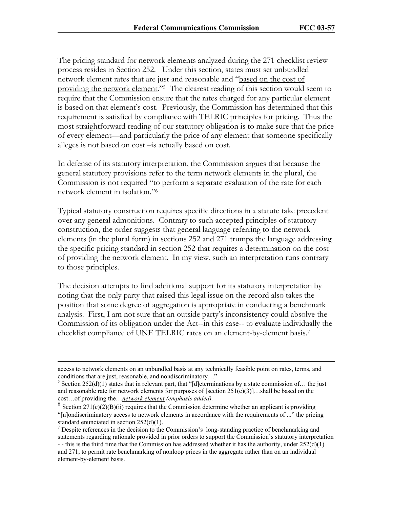The pricing standard for network elements analyzed during the 271 checklist review process resides in Section 252. Under this section, states must set unbundled network element rates that are just and reasonable and "based on the cost of providing the network element."<sup>5</sup> The clearest reading of this section would seem to require that the Commission ensure that the rates charged for any particular element is based on that element's cost. Previously, the Commission has determined that this requirement is satisfied by compliance with TELRIC principles for pricing. Thus the most straightforward reading of our statutory obligation is to make sure that the price of every element—and particularly the price of any element that someone specifically alleges is not based on cost –is actually based on cost.

In defense of its statutory interpretation, the Commission argues that because the general statutory provisions refer to the term network elements in the plural, the Commission is not required "to perform a separate evaluation of the rate for each network element in isolation."6

Typical statutory construction requires specific directions in a statute take precedent over any general admonitions. Contrary to such accepted principles of statutory construction, the order suggests that general language referring to the network elements (in the plural form) in sections 252 and 271 trumps the language addressing the specific pricing standard in section 252 that requires a determination on the cost of providing the network element. In my view, such an interpretation runs contrary to those principles.

The decision attempts to find additional support for its statutory interpretation by noting that the only party that raised this legal issue on the record also takes the position that some degree of aggregation is appropriate in conducting a benchmark analysis. First, I am not sure that an outside party's inconsistency could absolve the Commission of its obligation under the Act--in this case-- to evaluate individually the checklist compliance of UNE TELRIC rates on an element-by-element basis.7

access to network elements on an unbundled basis at any technically feasible point on rates, terms, and conditions that are just, reasonable, and nondiscriminatory…"

<sup>&</sup>lt;sup>5</sup> Section 252(d)(1) states that in relevant part, that "[d]eterminations by a state commission of... the just and reasonable rate for network elements for purposes of [section  $251(c)(3)$ ]...shall be based on the cost…of providing the…*network element (emphasis added).* 

 $6$  Section 271(c)(2)(B)(ii) requires that the Commission determine whether an applicant is providing "[n]ondiscriminatory access to network elements in accordance with the requirements of ..." the pricing standard enunciated in section 252(d)(1).

 $<sup>7</sup>$  Despite references in the decision to the Commission's long-standing practice of benchmarking and</sup> statements regarding rationale provided in prior orders to support the Commission's statutory interpretation - - this is the third time that the Commission has addressed whether it has the authority, under  $252(d)(1)$ 

and 271, to permit rate benchmarking of nonloop prices in the aggregate rather than on an individual element-by-element basis.